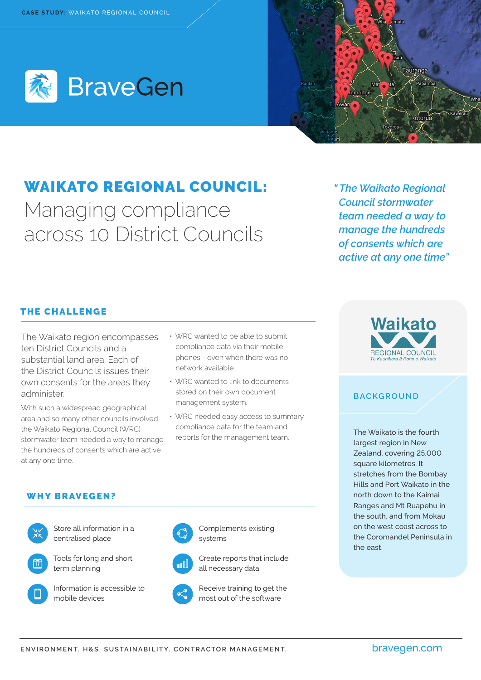



# WAIKATO REGIONAL COUNCIL: Managing compliance across 10 District Councils

*" The Waikato Regional Council stormwater team needed a way to manage the hundreds of consents which are active at any one time"*

## THE CHALLENGE

The Waikato region encompasses ten District Councils and a substantial land area. Each of the District Councils issues their own consents for the areas they administer.

With such a widespread geographical area and so many other councils involved, the Waikato Regional Council (WRC) stormwater team needed a way to manage the hundreds of consents which are active at any one time.

- WRC wanted to be able to submit compliance data via their mobile phones - even when there was no network available.
- WRC wanted to link to documents stored on their own document management system.
- WRC needed easy access to summary compliance data for the team and reports for the management team.



### **BACKGROUND**

The Waikato is the fourth largest region in New Zealand, covering 25,000 square kilometres. It stretches from the Bombay Hills and Port Waikato in the north down to the Kaimai Ranges and Mt Ruapehu in the south, and from Mokau on the west coast across to the Coromandel Peninsula in the east.

#### WHY BRAVEGEN?



Store all information in a centralised place



Tools for long and short term planning



Information is accessible to mobile devices



Complements existing systems



Create reports that include all necessary data



Receive training to get the most out of the software